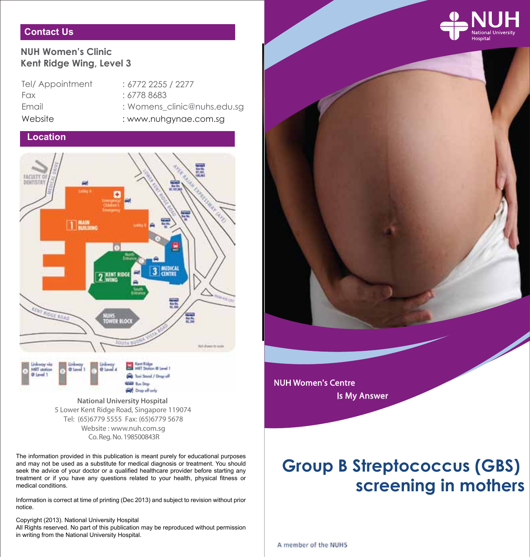

# **Contact Us**

# **NUH Women's Clinic Kent Ridge Wing, Level 3**

Tel/ Appointment Fax : 6778 8683 Email : Website : www.nuhgynae.com.sg

6772 2255 / 2277 Womens\_clinic@nuhs.edu.sg

# **Location**



Co. Reg. No. 198500843R **National University Hospital**  5 Lower Kent Ridge Road, Singapore 119074 Website : www.nuh.com.sg Tel: (65)6779 5555 Fax: (65)6779 5678

The information provided in this publication is meant purely for educational purposes and may not be used as a substitute for medical diagnosis or treatment. You should seek the advice of your doctor or a qualified healthcare provider before starting any treatment or if you have any questions related to your health, physical fitness or medical conditions.

Information is correct at time of printing (Dec 2013) and subject to revision without prior notice.

Copyright (2013). National University Hospital

All Rights reserved. No part of this publication may be reproduced without permission in writing from the National University Hospital.

# **Group B Streptococcus (GBS) screening in mothers**

A member of the NUHS

NUH Women's Centre

Is My Answer